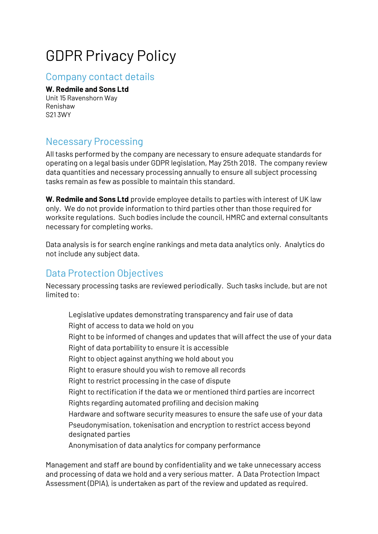# GDPR Privacy Policy

#### Company contact details

#### **W. Redmile and Sons Ltd**

Unit 15 Ravenshorn Way Renishaw S21 3WY

# Necessary Processing

All tasks performed by the company are necessary to ensure adequate standards for operating on a legal basis under GDPR legislation, May 25th 2018. The company review data quantities and necessary processing annually to ensure all subject processing tasks remain as few as possible to maintain this standard.

**W. Redmile and Sons Ltd** provide employee details to parties with interest of UK law only. We do not provide information to third parties other than those required for worksite regulations. Such bodies include the council, HMRC and external consultants necessary for completing works.

Data analysis is for search engine rankings and meta data analytics only. Analytics do not include any subject data.

### Data Protection Objectives

Necessary processing tasks are reviewed periodically. Such tasks include, but are not limited to:

Legislative updates demonstrating transparency and fair use of data Right of access to data we hold on you Right to be informed of changes and updates that will affect the use of your data Right of data portability to ensure it is accessible Right to object against anything we hold about you Right to erasure should you wish to remove all records Right to restrict processing in the case of dispute Right to rectification if the data we or mentioned third parties are incorrect Rights regarding automated profiling and decision making Hardware and software security measures to ensure the safe use of your data Pseudonymisation, tokenisation and encryption to restrict access beyond designated parties Anonymisation of data analytics for company performance

Management and staff are bound by confidentiality and we take unnecessary access and processing of data we hold and a very serious matter. A Data Protection Impact Assessment (DPIA), is undertaken as part of the review and updated as required.